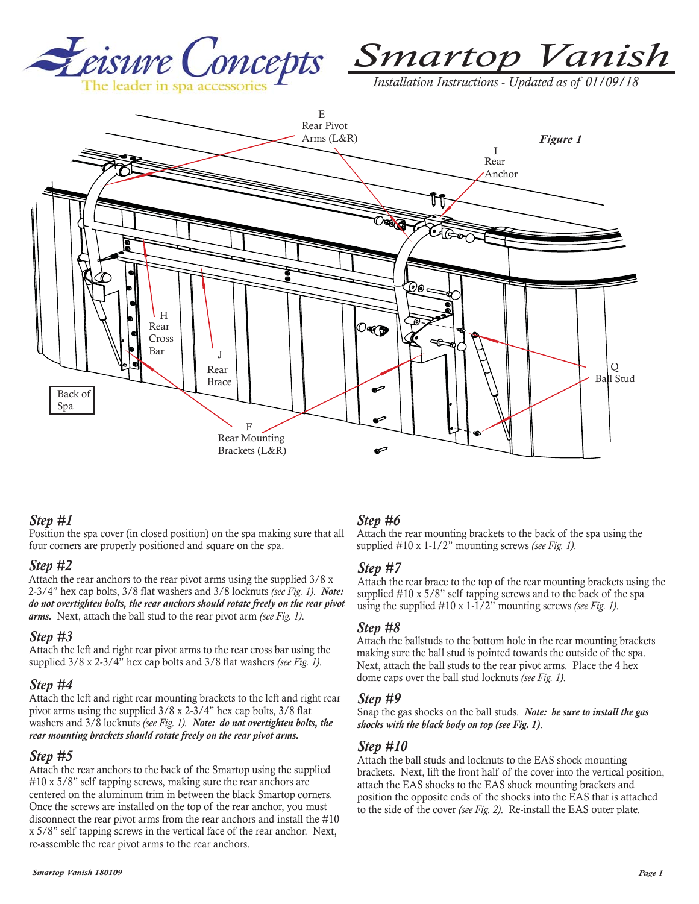



*Installation Instructions - Updated as of 01/09/18* 



## *Step #1*

Position the spa cover (in closed position) on the spa making sure that all four corners are properly positioned and square on the spa.

#### *Step #2*

Attach the rear anchors to the rear pivot arms using the supplied 3/8 x 2-3/4" hex cap bolts, 3/8 flat washers and 3/8 locknuts *(see Fig. 1)*. *Note: do not overtighten bolts, the rear anchors should rotate freely on the rear pivot arms.* Next, attach the ball stud to the rear pivot arm *(see Fig. 1)*.

#### *Step #3*

Attach the left and right rear pivot arms to the rear cross bar using the supplied 3/8 x 2-3/4" hex cap bolts and 3/8 flat washers *(see Fig. 1)*.

## *Step #4*

Attach the left and right rear mounting brackets to the left and right rear pivot arms using the supplied 3/8 x 2-3/4" hex cap bolts, 3/8 flat washers and 3/8 locknuts *(see Fig. 1). Note: do not overtighten bolts, the rear mounting brackets should rotate freely on the rear pivot arms.*

#### *Step #5*

Attach the rear anchors to the back of the Smartop using the supplied #10 x 5/8" self tapping screws, making sure the rear anchors are centered on the aluminum trim in between the black Smartop corners. Once the screws are installed on the top of the rear anchor, you must disconnect the rear pivot arms from the rear anchors and install the #10 x 5/8" self tapping screws in the vertical face of the rear anchor. Next, re-assemble the rear pivot arms to the rear anchors.

## *Step #6*

Attach the rear mounting brackets to the back of the spa using the supplied #10 x 1-1/2" mounting screws *(see Fig. 1)*.

#### *Step #7*

Attach the rear brace to the top of the rear mounting brackets using the supplied #10 x 5/8" self tapping screws and to the back of the spa using the supplied #10 x 1-1/2" mounting screws *(see Fig. 1)*.

#### *Step #8*

Attach the ballstuds to the bottom hole in the rear mounting brackets making sure the ball stud is pointed towards the outside of the spa. Next, attach the ball studs to the rear pivot arms. Place the 4 hex dome caps over the ball stud locknuts *(see Fig. 1)*.

#### *Step #9*

Snap the gas shocks on the ball studs. *Note: be sure to install the gas shocks with the black body on top (see Fig. 1)*.

#### *Step #10*

Attach the ball studs and locknuts to the EAS shock mounting brackets. Next, lift the front half of the cover into the vertical position, attach the EAS shocks to the EAS shock mounting brackets and position the opposite ends of the shocks into the EAS that is attached to the side of the cover *(see Fig. 2)*. Re-install the EAS outer plate.